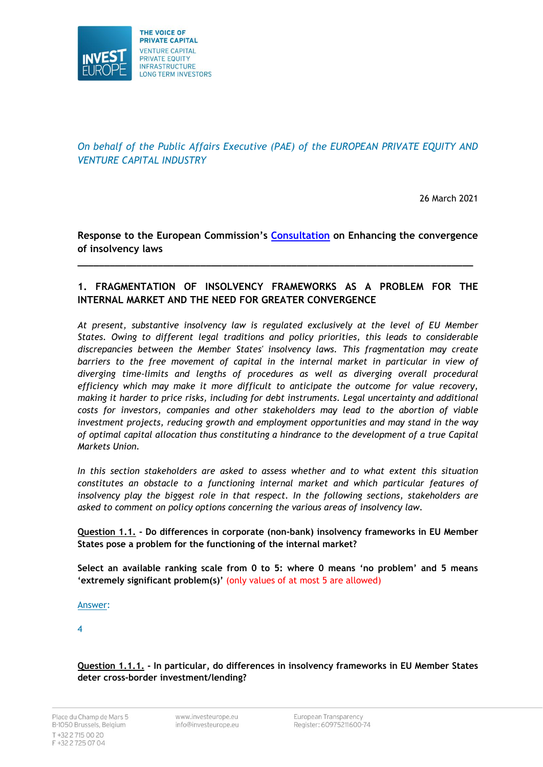

*On behalf of the Public Affairs Executive (PAE) of the EUROPEAN PRIVATE EQUITY AND VENTURE CAPITAL INDUSTRY*

26 March 2021

**Response to the European Commission's [Consultation](https://ec.europa.eu/info/law/better-regulation/have-your-say/initiatives/12592-Enhancing-the-convergence-of-insolvency-laws-/public-consultation) on Enhancing the convergence of insolvency laws**

**\_\_\_\_\_\_\_\_\_\_\_\_\_\_\_\_\_\_\_\_\_\_\_\_\_\_\_\_\_\_\_\_\_\_\_\_\_\_\_\_\_\_\_\_\_\_\_\_\_\_\_\_\_\_\_\_\_\_\_\_\_\_\_\_\_\_\_\_\_\_\_\_\_\_**

# **1. FRAGMENTATION OF INSOLVENCY FRAMEWORKS AS A PROBLEM FOR THE INTERNAL MARKET AND THE NEED FOR GREATER CONVERGENCE**

*At present, substantive insolvency law is regulated exclusively at the level of EU Member States. Owing to different legal traditions and policy priorities, this leads to considerable discrepancies between the Member States' insolvency laws. This fragmentation may create*  barriers to the free movement of capital in the internal market in particular in view of *diverging time-limits and lengths of procedures as well as diverging overall procedural efficiency which may make it more difficult to anticipate the outcome for value recovery, making it harder to price risks, including for debt instruments. Legal uncertainty and additional costs for investors, companies and other stakeholders may lead to the abortion of viable investment projects, reducing growth and employment opportunities and may stand in the way of optimal capital allocation thus constituting a hindrance to the development of a true Capital Markets Union.*

*In this section stakeholders are asked to assess whether and to what extent this situation constitutes an obstacle to a functioning internal market and which particular features of insolvency play the biggest role in that respect. In the following sections, stakeholders are asked to comment on policy options concerning the various areas of insolvency law.*

**Question 1.1. - Do differences in corporate (non-bank) insolvency frameworks in EU Member States pose a problem for the functioning of the internal market?**

**Select an available ranking scale from 0 to 5: where 0 means 'no problem' and 5 means 'extremely significant problem(s)'** (only values of at most 5 are allowed)

# Answer:

4

**Question 1.1.1. - In particular, do differences in insolvency frameworks in EU Member States deter cross-border investment/lending?**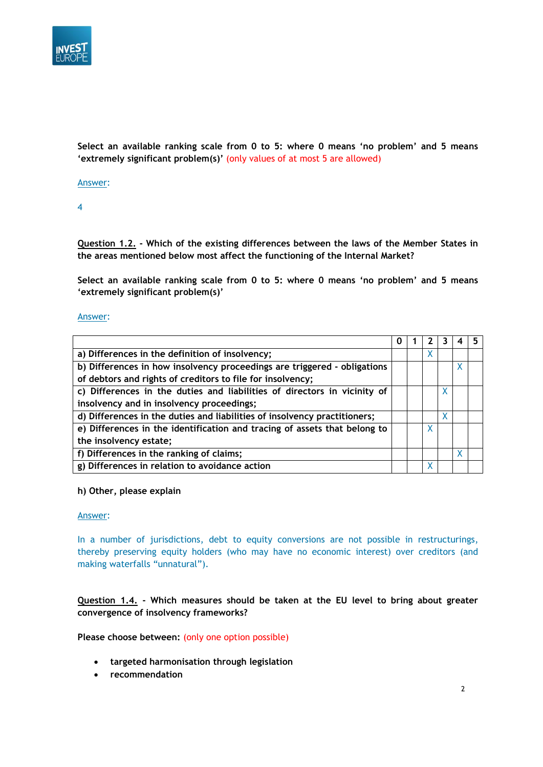

**Select an available ranking scale from 0 to 5: where 0 means 'no problem' and 5 means 'extremely significant problem(s)'** (only values of at most 5 are allowed)

Answer:

4

**Question 1.2. - Which of the existing differences between the laws of the Member States in the areas mentioned below most affect the functioning of the Internal Market?**

**Select an available ranking scale from 0 to 5: where 0 means 'no problem' and 5 means 'extremely significant problem(s)'**

#### Answer:

| a) Differences in the definition of insolvency;                           |  |    |  |
|---------------------------------------------------------------------------|--|----|--|
| b) Differences in how insolvency proceedings are triggered - obligations  |  |    |  |
| of debtors and rights of creditors to file for insolvency;                |  |    |  |
| c) Differences in the duties and liabilities of directors in vicinity of  |  | X. |  |
| insolvency and in insolvency proceedings;                                 |  |    |  |
| d) Differences in the duties and liabilities of insolvency practitioners; |  | x  |  |
| e) Differences in the identification and tracing of assets that belong to |  |    |  |
| the insolvency estate;                                                    |  |    |  |
| f) Differences in the ranking of claims;                                  |  |    |  |
| g) Differences in relation to avoidance action                            |  |    |  |

#### **h) Other, please explain**

#### Answer:

In a number of jurisdictions, debt to equity conversions are not possible in restructurings, thereby preserving equity holders (who may have no economic interest) over creditors (and making waterfalls "unnatural").

**Question 1.4. - Which measures should be taken at the EU level to bring about greater convergence of insolvency frameworks?**

**Please choose between:** (only one option possible)

- **targeted harmonisation through legislation**
- **recommendation**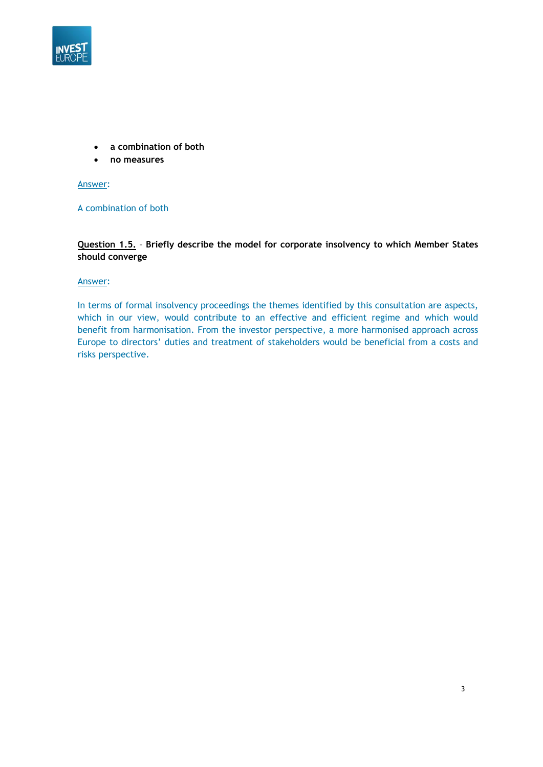

- **a combination of both**
- **no measures**

### Answer:

# A combination of both

**Question 1.5.** – **Briefly describe the model for corporate insolvency to which Member States should converge**

#### Answer:

In terms of formal insolvency proceedings the themes identified by this consultation are aspects, which in our view, would contribute to an effective and efficient regime and which would benefit from harmonisation. From the investor perspective, a more harmonised approach across Europe to directors' duties and treatment of stakeholders would be beneficial from a costs and risks perspective.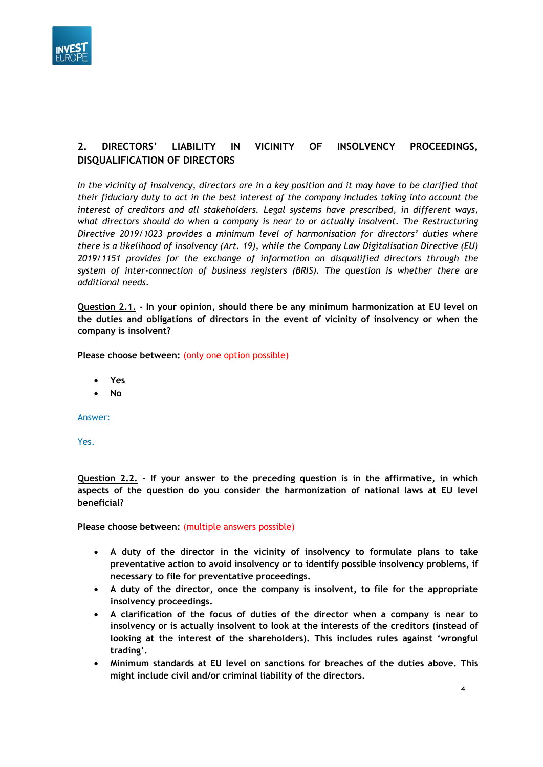

# **2. DIRECTORS' LIABILITY IN VICINITY OF INSOLVENCY PROCEEDINGS, DISQUALIFICATION OF DIRECTORS**

*In the vicinity of insolvency, directors are in a key position and it may have to be clarified that their fiduciary duty to act in the best interest of the company includes taking into account the interest of creditors and all stakeholders. Legal systems have prescribed, in different ways, what directors should do when a company is near to or actually insolvent. The Restructuring Directive 2019/1023 provides a minimum level of harmonisation for directors' duties where there is a likelihood of insolvency (Art. 19), while the Company Law Digitalisation Directive (EU) 2019/1151 provides for the exchange of information on disqualified directors through the system of inter-connection of business registers (BRIS). The question is whether there are additional needs.*

**Question 2.1. - In your opinion, should there be any minimum harmonization at EU level on the duties and obligations of directors in the event of vicinity of insolvency or when the company is insolvent?**

**Please choose between:** (only one option possible)

- **Yes**
- **No**

Answer:

Yes.

**Question 2.2. - If your answer to the preceding question is in the affirmative, in which aspects of the question do you consider the harmonization of national laws at EU level beneficial?**

**Please choose between:** (multiple answers possible)

- **A duty of the director in the vicinity of insolvency to formulate plans to take preventative action to avoid insolvency or to identify possible insolvency problems, if necessary to file for preventative proceedings.**
- **A duty of the director, once the company is insolvent, to file for the appropriate insolvency proceedings.**
- **A clarification of the focus of duties of the director when a company is near to insolvency or is actually insolvent to look at the interests of the creditors (instead of looking at the interest of the shareholders). This includes rules against 'wrongful trading'.**
- **Minimum standards at EU level on sanctions for breaches of the duties above. This might include civil and/or criminal liability of the directors.**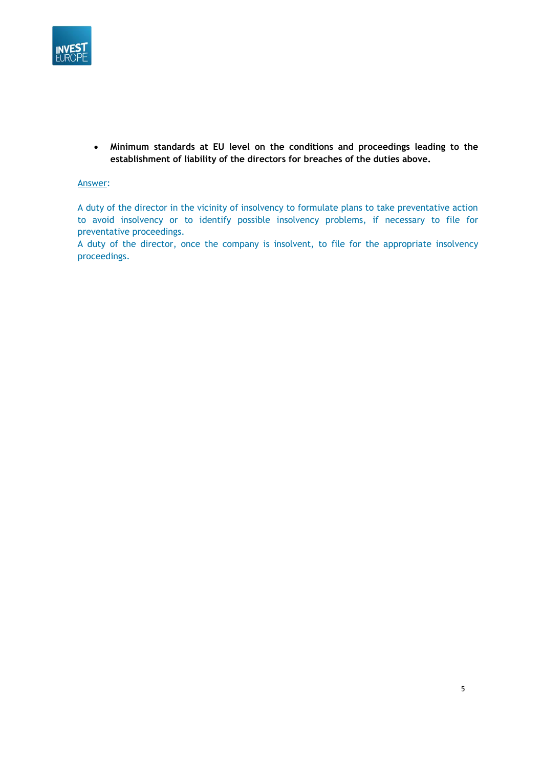

• **Minimum standards at EU level on the conditions and proceedings leading to the establishment of liability of the directors for breaches of the duties above.**

# Answer:

A duty of the director in the vicinity of insolvency to formulate plans to take preventative action to avoid insolvency or to identify possible insolvency problems, if necessary to file for preventative proceedings.

A duty of the director, once the company is insolvent, to file for the appropriate insolvency proceedings.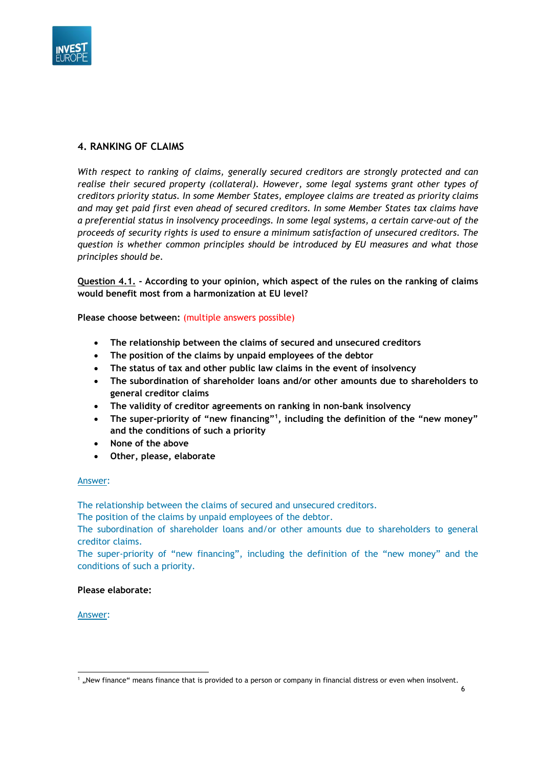

# **4. RANKING OF CLAIMS**

*With respect to ranking of claims, generally secured creditors are strongly protected and can realise their secured property (collateral). However, some legal systems grant other types of creditors priority status. In some Member States, employee claims are treated as priority claims and may get paid first even ahead of secured creditors. In some Member States tax claims have a preferential status in insolvency proceedings. In some legal systems, a certain carve-out of the proceeds of security rights is used to ensure a minimum satisfaction of unsecured creditors. The question is whether common principles should be introduced by EU measures and what those principles should be.*

**Question 4.1. - According to your opinion, which aspect of the rules on the ranking of claims would benefit most from a harmonization at EU level?**

**Please choose between:** (multiple answers possible)

- **The relationship between the claims of secured and unsecured creditors**
- **The position of the claims by unpaid employees of the debtor**
- **The status of tax and other public law claims in the event of insolvency**
- **The subordination of shareholder loans and/or other amounts due to shareholders to general creditor claims**
- **The validity of creditor agreements on ranking in non-bank insolvency**
- **The super-priority of "new financing"<sup>1</sup> , including the definition of the "new money" and the conditions of such a priority**
- **None of the above**
- **Other, please, elaborate**

# Answer:

The relationship between the claims of secured and unsecured creditors.

The position of the claims by unpaid employees of the debtor.

The subordination of shareholder loans and/or other amounts due to shareholders to general creditor claims.

The super-priority of "new financing", including the definition of the "new money" and the conditions of such a priority.

# **Please elaborate:**

Answer:

6

<sup>&</sup>lt;sup>1</sup> "New finance" means finance that is provided to a person or company in financial distress or even when insolvent.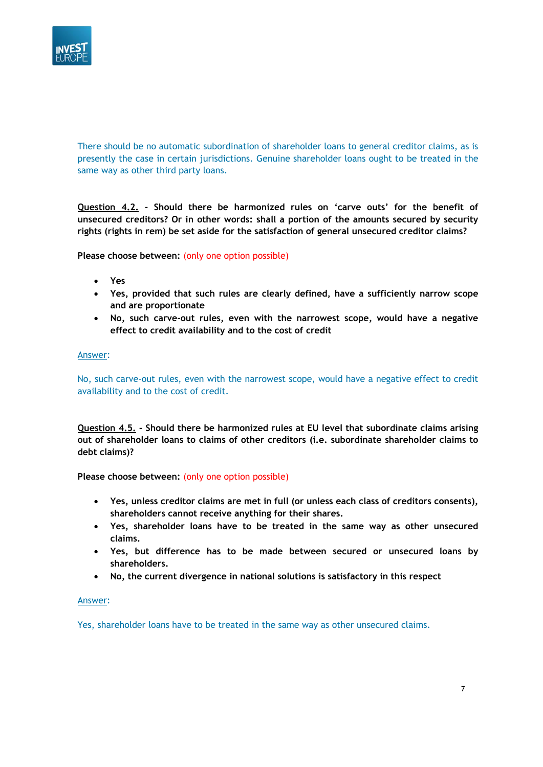

There should be no automatic subordination of shareholder loans to general creditor claims, as is presently the case in certain jurisdictions. Genuine shareholder loans ought to be treated in the same way as other third party loans.

**Question 4.2. - Should there be harmonized rules on 'carve outs' for the benefit of unsecured creditors? Or in other words: shall a portion of the amounts secured by security rights (rights in rem) be set aside for the satisfaction of general unsecured creditor claims?**

**Please choose between:** (only one option possible)

- **Yes**
- **Yes, provided that such rules are clearly defined, have a sufficiently narrow scope and are proportionate**
- **No, such carve-out rules, even with the narrowest scope, would have a negative effect to credit availability and to the cost of credit**

#### Answer:

No, such carve-out rules, even with the narrowest scope, would have a negative effect to credit availability and to the cost of credit.

**Question 4.5. - Should there be harmonized rules at EU level that subordinate claims arising out of shareholder loans to claims of other creditors (i.e. subordinate shareholder claims to debt claims)?**

# **Please choose between:** (only one option possible)

- **Yes, unless creditor claims are met in full (or unless each class of creditors consents), shareholders cannot receive anything for their shares.**
- **Yes, shareholder loans have to be treated in the same way as other unsecured claims.**
- **Yes, but difference has to be made between secured or unsecured loans by shareholders.**
- **No, the current divergence in national solutions is satisfactory in this respect**

#### Answer:

Yes, shareholder loans have to be treated in the same way as other unsecured claims.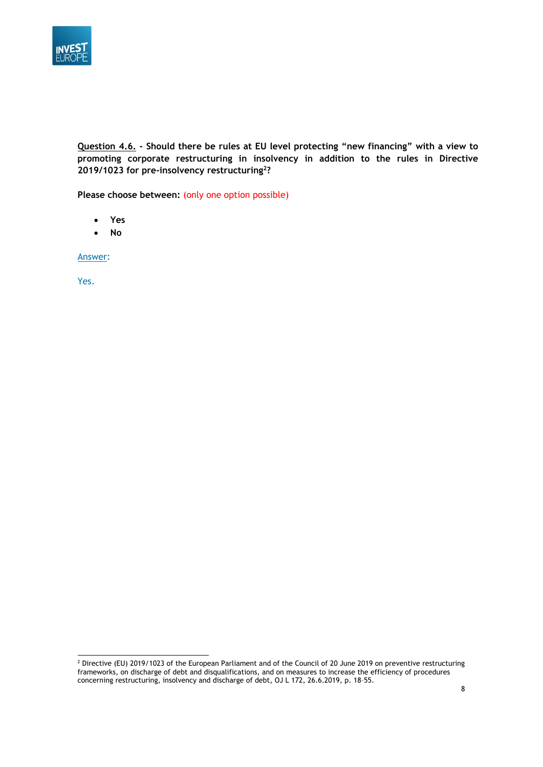

**Question 4.6. - Should there be rules at EU level protecting "new financing" with a view to promoting corporate restructuring in insolvency in addition to the rules in Directive 2019/1023 for pre-insolvency restructuring<sup>2</sup> ?**

**Please choose between:** (only one option possible)

- **Yes**
- **No**

Answer:

<sup>&</sup>lt;sup>2</sup> Directive (EU) 2019/1023 of the European Parliament and of the Council of 20 June 2019 on preventive restructuring frameworks, on discharge of debt and disqualifications, and on measures to increase the efficiency of procedures concerning restructuring, insolvency and discharge of debt, OJ L 172, 26.6.2019, p. 18–55.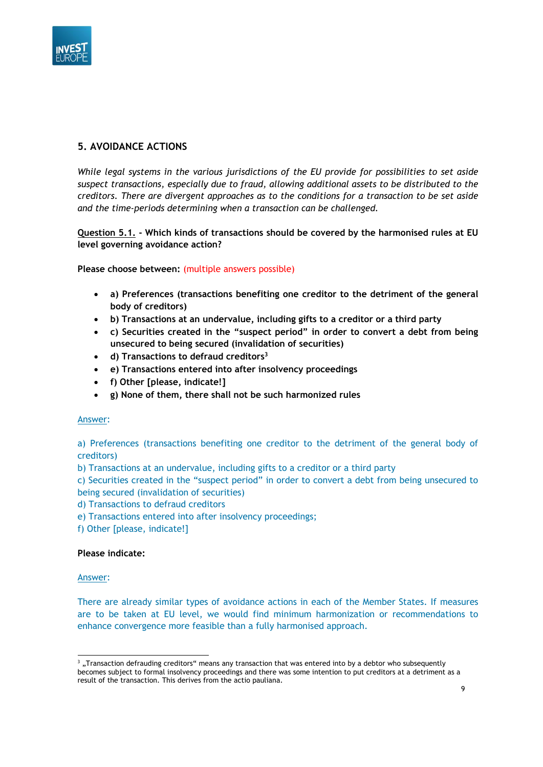

# **5. AVOIDANCE ACTIONS**

*While legal systems in the various jurisdictions of the EU provide for possibilities to set aside suspect transactions, especially due to fraud, allowing additional assets to be distributed to the creditors. There are divergent approaches as to the conditions for a transaction to be set aside and the time-periods determining when a transaction can be challenged.*

**Question 5.1. - Which kinds of transactions should be covered by the harmonised rules at EU level governing avoidance action?**

**Please choose between:** (multiple answers possible)

- **a) Preferences (transactions benefiting one creditor to the detriment of the general body of creditors)**
- **b) Transactions at an undervalue, including gifts to a creditor or a third party**
- **c) Securities created in the "suspect period" in order to convert a debt from being unsecured to being secured (invalidation of securities)**
- **d) Transactions to defraud creditors<sup>3</sup>**
- **e) Transactions entered into after insolvency proceedings**
- **f) Other [please, indicate!]**
- **g) None of them, there shall not be such harmonized rules**

#### Answer:

a) Preferences (transactions benefiting one creditor to the detriment of the general body of creditors)

b) Transactions at an undervalue, including gifts to a creditor or a third party

c) Securities created in the "suspect period" in order to convert a debt from being unsecured to being secured (invalidation of securities)

d) Transactions to defraud creditors

- e) Transactions entered into after insolvency proceedings;
- f) Other [please, indicate!]

# **Please indicate:**

#### Answer:

There are already similar types of avoidance actions in each of the Member States. If measures are to be taken at EU level, we would find minimum harmonization or recommendations to enhance convergence more feasible than a fully harmonised approach.

<sup>&</sup>lt;sup>3</sup>, Transaction defrauding creditors" means any transaction that was entered into by a debtor who subsequently becomes subject to formal insolvency proceedings and there was some intention to put creditors at a detriment as a result of the transaction. This derives from the actio pauliana.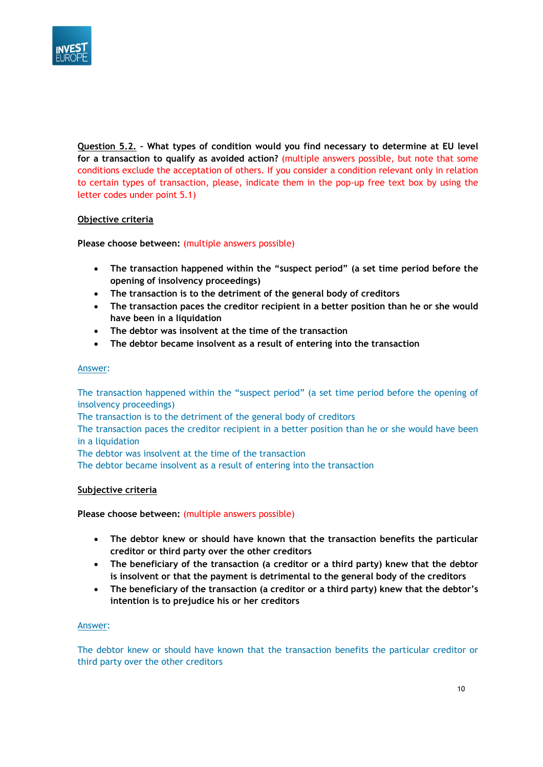

**Question 5.2. – What types of condition would you find necessary to determine at EU level for a transaction to qualify as avoided action?** (multiple answers possible, but note that some conditions exclude the acceptation of others. If you consider a condition relevant only in relation to certain types of transaction, please, indicate them in the pop-up free text box by using the letter codes under point 5.1)

# **Objective criteria**

**Please choose between:** (multiple answers possible)

- **The transaction happened within the "suspect period" (a set time period before the opening of insolvency proceedings)**
- **The transaction is to the detriment of the general body of creditors**
- **The transaction paces the creditor recipient in a better position than he or she would have been in a liquidation**
- **The debtor was insolvent at the time of the transaction**
- **The debtor became insolvent as a result of entering into the transaction**

#### Answer:

The transaction happened within the "suspect period" (a set time period before the opening of insolvency proceedings)

The transaction is to the detriment of the general body of creditors

The transaction paces the creditor recipient in a better position than he or she would have been in a liquidation

The debtor was insolvent at the time of the transaction

The debtor became insolvent as a result of entering into the transaction

# **Subjective criteria**

**Please choose between:** (multiple answers possible)

- **The debtor knew or should have known that the transaction benefits the particular creditor or third party over the other creditors**
- **The beneficiary of the transaction (a creditor or a third party) knew that the debtor is insolvent or that the payment is detrimental to the general body of the creditors**
- **The beneficiary of the transaction (a creditor or a third party) knew that the debtor's intention is to prejudice his or her creditors**

# Answer:

The debtor knew or should have known that the transaction benefits the particular creditor or third party over the other creditors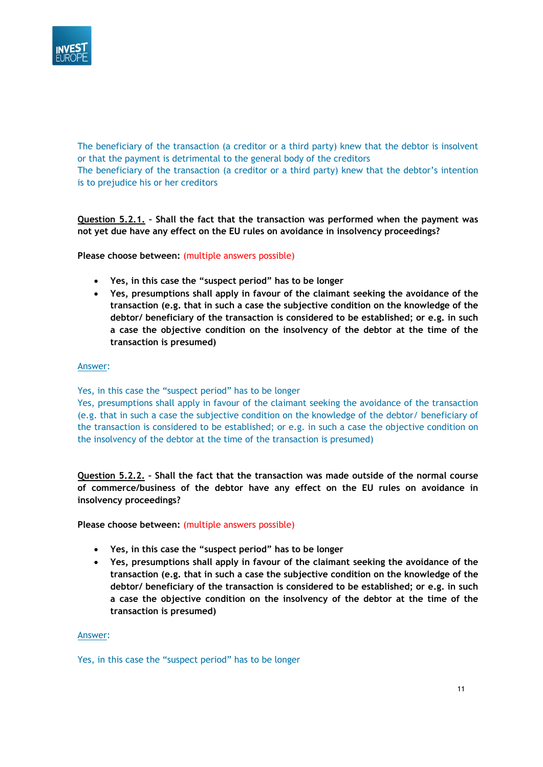

The beneficiary of the transaction (a creditor or a third party) knew that the debtor is insolvent or that the payment is detrimental to the general body of the creditors The beneficiary of the transaction (a creditor or a third party) knew that the debtor's intention is to prejudice his or her creditors

**Question 5.2.1. – Shall the fact that the transaction was performed when the payment was not yet due have any effect on the EU rules on avoidance in insolvency proceedings?**

**Please choose between:** (multiple answers possible)

- **Yes, in this case the "suspect period" has to be longer**
- **Yes, presumptions shall apply in favour of the claimant seeking the avoidance of the transaction (e.g. that in such a case the subjective condition on the knowledge of the debtor/ beneficiary of the transaction is considered to be established; or e.g. in such a case the objective condition on the insolvency of the debtor at the time of the transaction is presumed)**

#### Answer:

Yes, in this case the "suspect period" has to be longer

Yes, presumptions shall apply in favour of the claimant seeking the avoidance of the transaction (e.g. that in such a case the subjective condition on the knowledge of the debtor/ beneficiary of the transaction is considered to be established; or e.g. in such a case the objective condition on the insolvency of the debtor at the time of the transaction is presumed)

**Question 5.2.2. – Shall the fact that the transaction was made outside of the normal course of commerce/business of the debtor have any effect on the EU rules on avoidance in insolvency proceedings?**

**Please choose between:** (multiple answers possible)

- **Yes, in this case the "suspect period" has to be longer**
- **Yes, presumptions shall apply in favour of the claimant seeking the avoidance of the transaction (e.g. that in such a case the subjective condition on the knowledge of the debtor/ beneficiary of the transaction is considered to be established; or e.g. in such a case the objective condition on the insolvency of the debtor at the time of the transaction is presumed)**

Answer:

Yes, in this case the "suspect period" has to be longer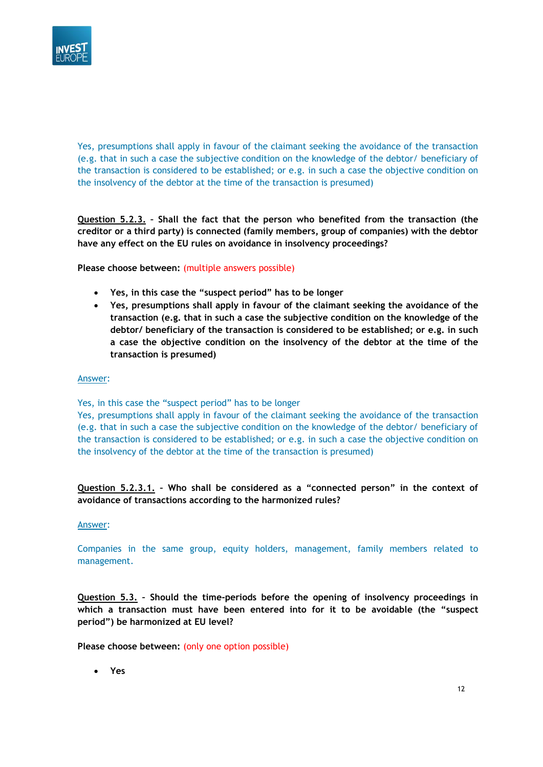

Yes, presumptions shall apply in favour of the claimant seeking the avoidance of the transaction (e.g. that in such a case the subjective condition on the knowledge of the debtor/ beneficiary of the transaction is considered to be established; or e.g. in such a case the objective condition on the insolvency of the debtor at the time of the transaction is presumed)

**Question 5.2.3. – Shall the fact that the person who benefited from the transaction (the creditor or a third party) is connected (family members, group of companies) with the debtor have any effect on the EU rules on avoidance in insolvency proceedings?**

**Please choose between:** (multiple answers possible)

- **Yes, in this case the "suspect period" has to be longer**
- **Yes, presumptions shall apply in favour of the claimant seeking the avoidance of the transaction (e.g. that in such a case the subjective condition on the knowledge of the debtor/ beneficiary of the transaction is considered to be established; or e.g. in such a case the objective condition on the insolvency of the debtor at the time of the transaction is presumed)**

#### Answer:

Yes, in this case the "suspect period" has to be longer

Yes, presumptions shall apply in favour of the claimant seeking the avoidance of the transaction (e.g. that in such a case the subjective condition on the knowledge of the debtor/ beneficiary of the transaction is considered to be established; or e.g. in such a case the objective condition on the insolvency of the debtor at the time of the transaction is presumed)

# **Question 5.2.3.1. – Who shall be considered as a "connected person" in the context of avoidance of transactions according to the harmonized rules?**

#### Answer:

Companies in the same group, equity holders, management, family members related to management.

**Question 5.3. – Should the time-periods before the opening of insolvency proceedings in which a transaction must have been entered into for it to be avoidable (the "suspect period") be harmonized at EU level?**

**Please choose between:** (only one option possible)

• **Yes**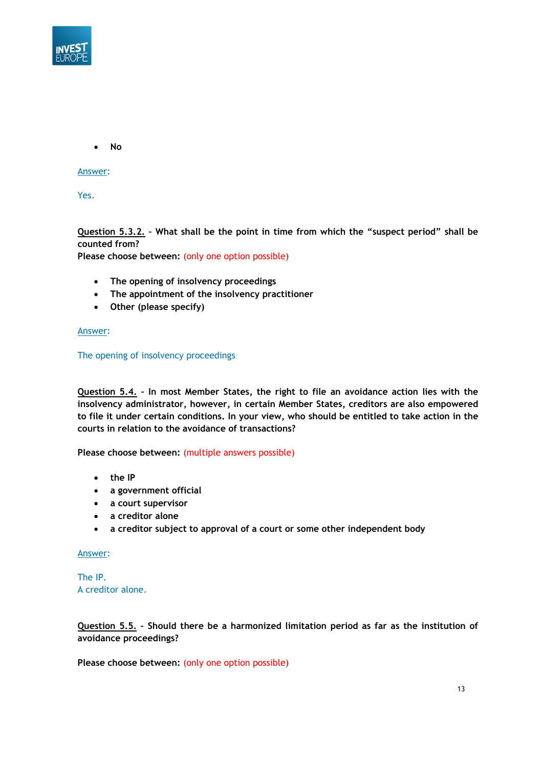

• **No**

Answer:

Yes.

**Question 5.3.2. – What shall be the point in time from which the "suspect period" shall be counted from?**

**Please choose between:** (only one option possible)

- **The opening of insolvency proceedings**
- **The appointment of the insolvency practitioner**
- **Other (please specify)**

Answer:

The opening of insolvency proceedings

**Question 5.4. – In most Member States, the right to file an avoidance action lies with the insolvency administrator, however, in certain Member States, creditors are also empowered to file it under certain conditions. In your view, who should be entitled to take action in the courts in relation to the avoidance of transactions?**

**Please choose between:** (multiple answers possible)

- **the IP**
- **a government official**
- **a court supervisor**
- **a creditor alone**
- **a creditor subject to approval of a court or some other independent body**

Answer:

The IP. A creditor alone.

**Question 5.5. – Should there be a harmonized limitation period as far as the institution of avoidance proceedings?**

**Please choose between:** (only one option possible)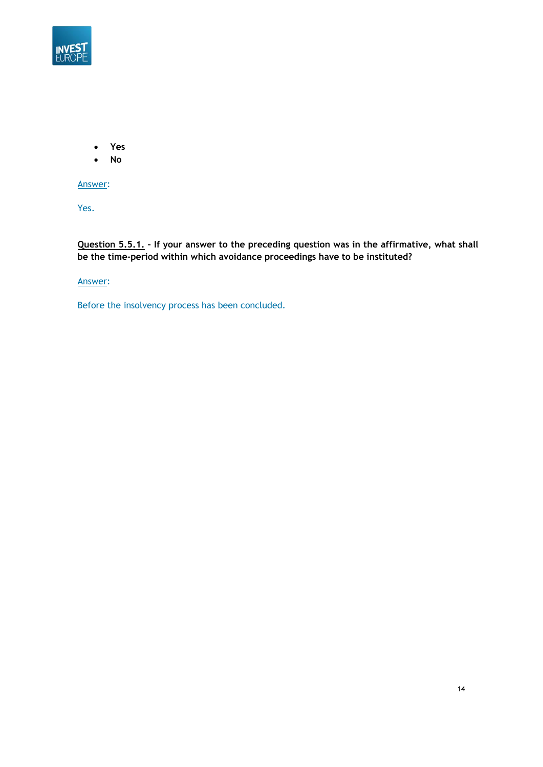

- **Yes**
- **No**

Answer:

Yes.

**Question 5.5.1. – If your answer to the preceding question was in the affirmative, what shall be the time-period within which avoidance proceedings have to be instituted?**

# Answer:

Before the insolvency process has been concluded.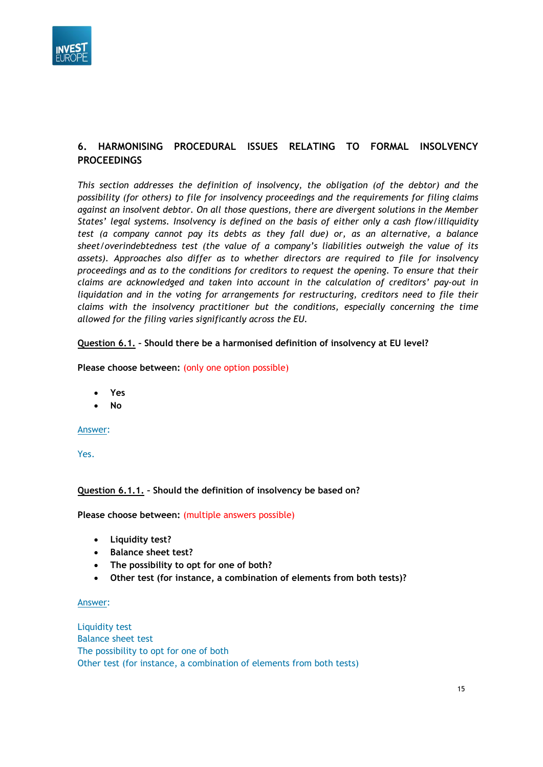

# **6. HARMONISING PROCEDURAL ISSUES RELATING TO FORMAL INSOLVENCY PROCEEDINGS**

*This section addresses the definition of insolvency, the obligation (of the debtor) and the possibility (for others) to file for insolvency proceedings and the requirements for filing claims against an insolvent debtor. On all those questions, there are divergent solutions in the Member States' legal systems. Insolvency is defined on the basis of either only a cash flow/illiquidity test (a company cannot pay its debts as they fall due) or, as an alternative, a balance sheet/overindebtedness test (the value of a company's liabilities outweigh the value of its assets). Approaches also differ as to whether directors are required to file for insolvency proceedings and as to the conditions for creditors to request the opening. To ensure that their claims are acknowledged and taken into account in the calculation of creditors' pay-out in liquidation and in the voting for arrangements for restructuring, creditors need to file their claims with the insolvency practitioner but the conditions, especially concerning the time allowed for the filing varies significantly across the EU.*

# **Question 6.1. – Should there be a harmonised definition of insolvency at EU level?**

# **Please choose between:** (only one option possible)

- **Yes**
- **No**

# Answer:

Yes.

# **Question 6.1.1. – Should the definition of insolvency be based on?**

**Please choose between:** (multiple answers possible)

- **Liquidity test?**
- **Balance sheet test?**
- **The possibility to opt for one of both?**
- **Other test (for instance, a combination of elements from both tests)?**

#### Answer:

Liquidity test Balance sheet test The possibility to opt for one of both Other test (for instance, a combination of elements from both tests)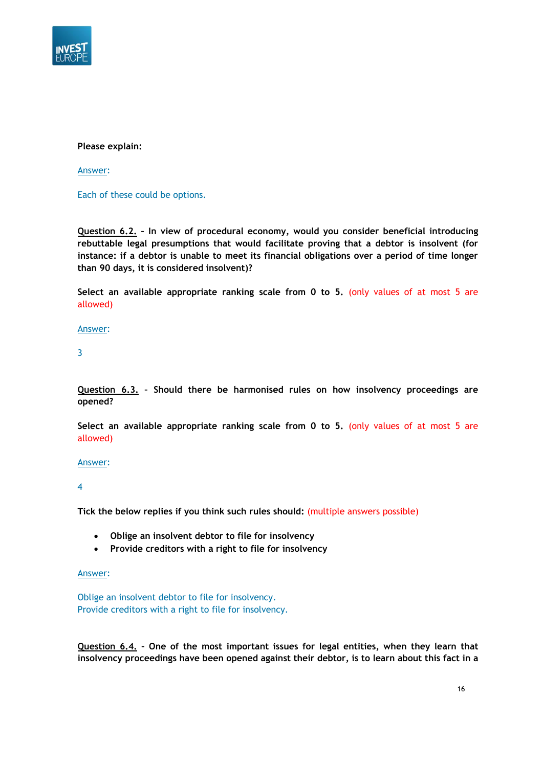

# **Please explain:**

Answer:

Each of these could be options.

**Question 6.2. – In view of procedural economy, would you consider beneficial introducing rebuttable legal presumptions that would facilitate proving that a debtor is insolvent (for instance: if a debtor is unable to meet its financial obligations over a period of time longer than 90 days, it is considered insolvent)?**

**Select an available appropriate ranking scale from 0 to 5.** (only values of at most 5 are allowed)

Answer:

3

**Question 6.3. – Should there be harmonised rules on how insolvency proceedings are opened?**

**Select an available appropriate ranking scale from 0 to 5.** (only values of at most 5 are allowed)

# Answer:

4

**Tick the below replies if you think such rules should:** (multiple answers possible)

- **Oblige an insolvent debtor to file for insolvency**
- **Provide creditors with a right to file for insolvency**

#### Answer:

Oblige an insolvent debtor to file for insolvency. Provide creditors with a right to file for insolvency.

**Question 6.4. – One of the most important issues for legal entities, when they learn that insolvency proceedings have been opened against their debtor, is to learn about this fact in a**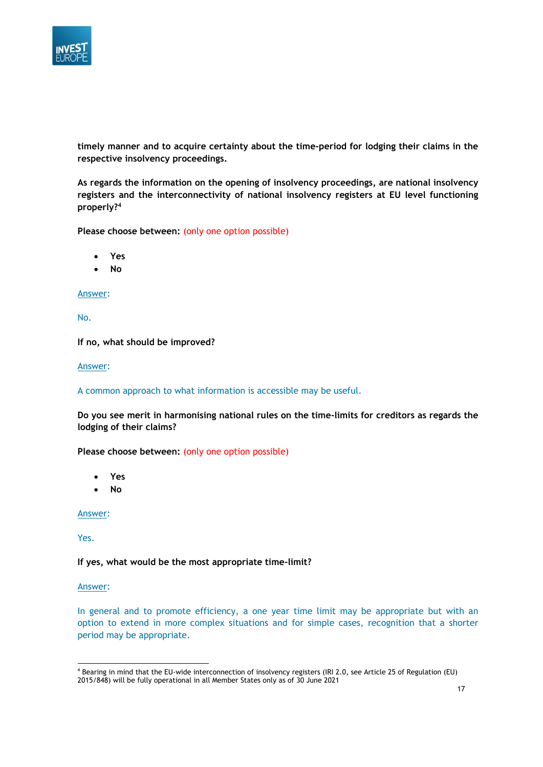

**timely manner and to acquire certainty about the time-period for lodging their claims in the respective insolvency proceedings.**

**As regards the information on the opening of insolvency proceedings, are national insolvency registers and the interconnectivity of national insolvency registers at EU level functioning properly?<sup>4</sup>**

**Please choose between:** (only one option possible)

- **Yes**
- **No**

#### Answer:

No.

**If no, what should be improved?**

Answer:

A common approach to what information is accessible may be useful.

**Do you see merit in harmonising national rules on the time-limits for creditors as regards the lodging of their claims?**

**Please choose between:** (only one option possible)

- **Yes**
- **No**

Answer:

Yes.

**If yes, what would be the most appropriate time-limit?**

#### Answer:

In general and to promote efficiency, a one year time limit may be appropriate but with an option to extend in more complex situations and for simple cases, recognition that a shorter period may be appropriate.

<sup>4</sup> Bearing in mind that the EU-wide interconnection of insolvency registers (IRI 2.0, see Article 25 of Regulation (EU) 2015/848) will be fully operational in all Member States only as of 30 June 2021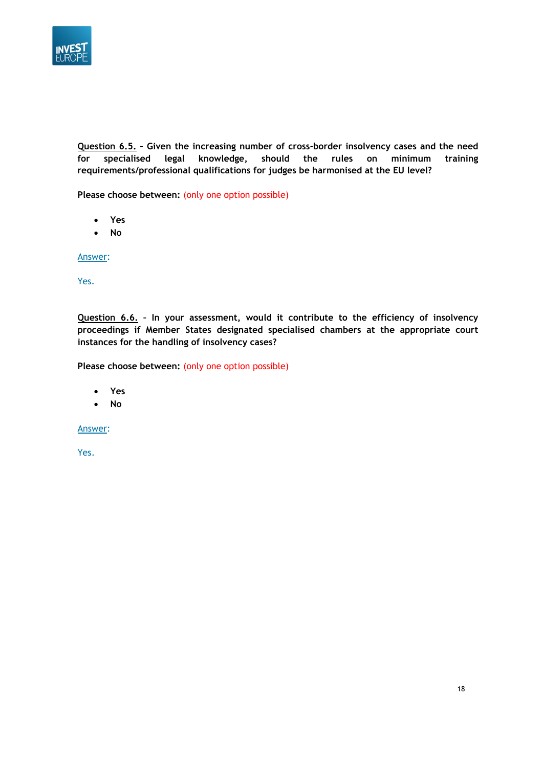

**Question 6.5. – Given the increasing number of cross-border insolvency cases and the need for specialised legal knowledge, should the rules on minimum training requirements/professional qualifications for judges be harmonised at the EU level?**

**Please choose between:** (only one option possible)

- **Yes**
- **No**

Answer:

Yes.

**Question 6.6. – In your assessment, would it contribute to the efficiency of insolvency proceedings if Member States designated specialised chambers at the appropriate court instances for the handling of insolvency cases?**

**Please choose between:** (only one option possible)

- **Yes**
- **No**

Answer: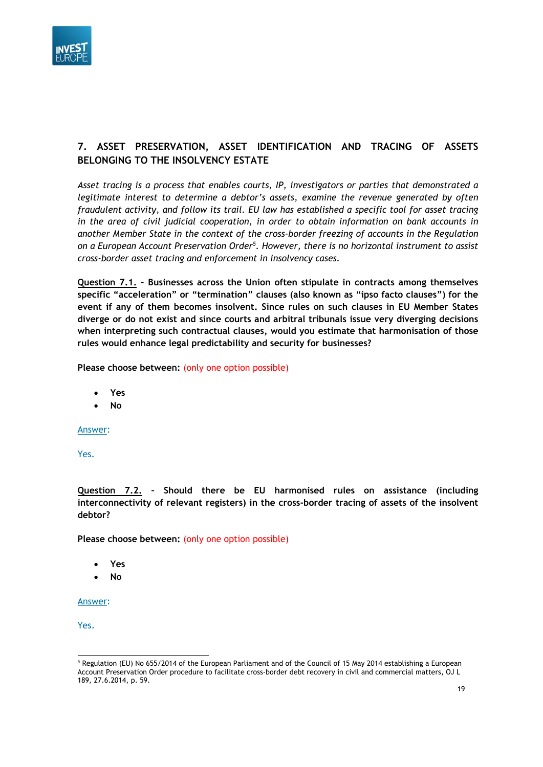

# **7. ASSET PRESERVATION, ASSET IDENTIFICATION AND TRACING OF ASSETS BELONGING TO THE INSOLVENCY ESTATE**

*Asset tracing is a process that enables courts, IP, investigators or parties that demonstrated a legitimate interest to determine a debtor's assets, examine the revenue generated by often fraudulent activity, and follow its trail. EU law has established a specific tool for asset tracing in the area of civil judicial cooperation, in order to obtain information on bank accounts in another Member State in the context of the cross-border freezing of accounts in the Regulation on a European Account Preservation Order<sup>5</sup> . However, there is no horizontal instrument to assist cross-border asset tracing and enforcement in insolvency cases.*

**Question 7.1. – Businesses across the Union often stipulate in contracts among themselves specific "acceleration" or "termination" clauses (also known as "ipso facto clauses") for the event if any of them becomes insolvent. Since rules on such clauses in EU Member States diverge or do not exist and since courts and arbitral tribunals issue very diverging decisions when interpreting such contractual clauses, would you estimate that harmonisation of those rules would enhance legal predictability and security for businesses?**

**Please choose between:** (only one option possible)

- **Yes**
- **No**

Answer:

Yes.

**Question 7.2. – Should there be EU harmonised rules on assistance (including interconnectivity of relevant registers) in the cross-border tracing of assets of the insolvent debtor?**

**Please choose between:** (only one option possible)

- **Yes**
- **No**

Answer:

<sup>&</sup>lt;sup>5</sup> Regulation (EU) No 655/2014 of the European Parliament and of the Council of 15 May 2014 establishing a European Account Preservation Order procedure to facilitate cross-border debt recovery in civil and commercial matters, OJ L 189, 27.6.2014, p. 59.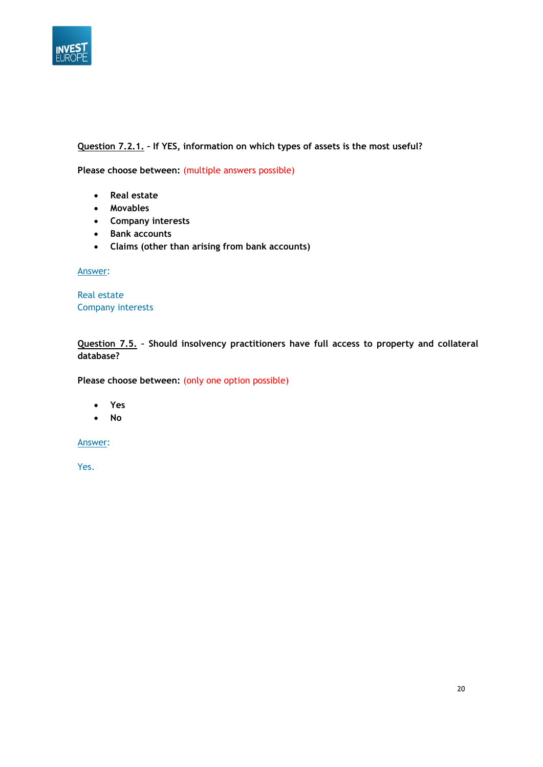

# **Question 7.2.1. – If YES, information on which types of assets is the most useful?**

**Please choose between:** (multiple answers possible)

- **Real estate**
- **Movables**
- **Company interests**
- **Bank accounts**
- **Claims (other than arising from bank accounts)**

Answer:

Real estate Company interests

**Question 7.5. – Should insolvency practitioners have full access to property and collateral database?**

Please choose between: (only one option possible)

- **Yes**
- **No**

Answer: